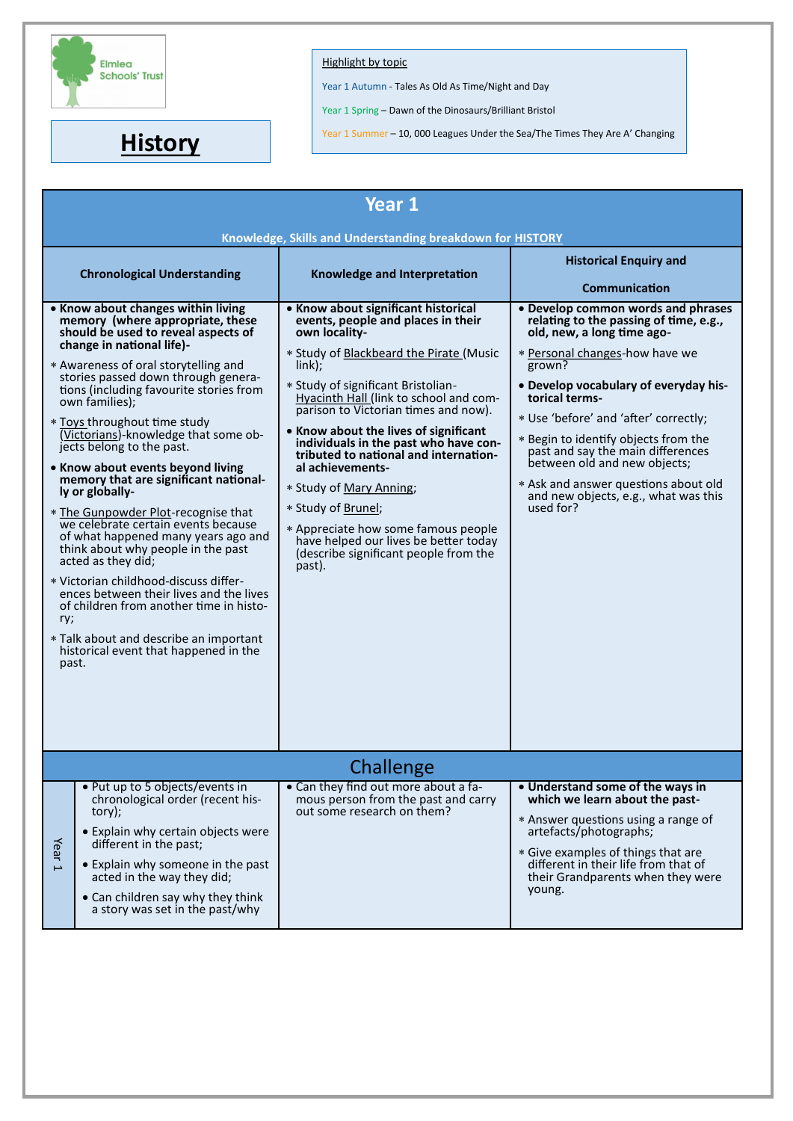

## **Highlight by topic**

Year 1 Autumn - Tales As Old As Time/Night and Day

Year 1 Spring – Dawn of the Dinosaurs/Brilliant Bristol

**History** Year 1 Summer – 10, 000 Leagues Under the Sea/The Times They Are A' Changing Year 1 Summer – 10, 000 Leagues Under the Sea/The Times They Are A' Changing

| Year 1                                                           |                                                                                                                                                                                                                                                                                                                                                                                                                                                                                                                                                                                                                                                                                                                                                                                                                                                                                                 |                                                                                                                                                                                                                                                                                                                                                                                                                                                                                                                                                                                                               |                                                                                                                                                                                                                                                                                                                                                                                                                                                                      |  |  |
|------------------------------------------------------------------|-------------------------------------------------------------------------------------------------------------------------------------------------------------------------------------------------------------------------------------------------------------------------------------------------------------------------------------------------------------------------------------------------------------------------------------------------------------------------------------------------------------------------------------------------------------------------------------------------------------------------------------------------------------------------------------------------------------------------------------------------------------------------------------------------------------------------------------------------------------------------------------------------|---------------------------------------------------------------------------------------------------------------------------------------------------------------------------------------------------------------------------------------------------------------------------------------------------------------------------------------------------------------------------------------------------------------------------------------------------------------------------------------------------------------------------------------------------------------------------------------------------------------|----------------------------------------------------------------------------------------------------------------------------------------------------------------------------------------------------------------------------------------------------------------------------------------------------------------------------------------------------------------------------------------------------------------------------------------------------------------------|--|--|
| Knowledge, Skills and Understanding breakdown for <b>HISTORY</b> |                                                                                                                                                                                                                                                                                                                                                                                                                                                                                                                                                                                                                                                                                                                                                                                                                                                                                                 |                                                                                                                                                                                                                                                                                                                                                                                                                                                                                                                                                                                                               |                                                                                                                                                                                                                                                                                                                                                                                                                                                                      |  |  |
|                                                                  | <b>Chronological Understanding</b>                                                                                                                                                                                                                                                                                                                                                                                                                                                                                                                                                                                                                                                                                                                                                                                                                                                              | Knowledge and Interpretation                                                                                                                                                                                                                                                                                                                                                                                                                                                                                                                                                                                  | <b>Historical Enquiry and</b><br><b>Communication</b>                                                                                                                                                                                                                                                                                                                                                                                                                |  |  |
| ry;<br>past.                                                     | • Know about changes within living<br>memory (where appropriate, these<br>should be used to reveal aspects of<br>change in national life)-<br>* Awareness of oral storytelling and<br>stories passed down through genera-<br>tions (including favourite stories from<br>own families);<br>* Toys throughout time study<br>(Victorians)-knowledge that some ob-<br>jects belong to the past.<br>• Know about events beyond living<br>memory that are significant national-<br>ly or globally-<br>* The Gunpowder Plot-recognise that<br>we celebrate certain events because<br>of what happened many years ago and<br>think about why people in the past<br>acted as they did;<br>* Victorian childhood-discuss differ-<br>ences between their lives and the lives<br>of children from another time in histo-<br>* Talk about and describe an important<br>historical event that happened in the | • Know about significant historical<br>events, people and places in their<br>own locality-<br>* Study of Blackbeard the Pirate (Music<br>$link)$ ;<br>* Study of significant Bristolian-<br>Hyacinth Hall (link to school and com-<br>parison to Victorian times and now).<br>• Know about the lives of significant<br>individuals in the past who have con-<br>tributed to national and internation-<br>al achievements-<br>* Study of Mary Anning;<br>* Study of Brunel;<br>* Appreciate how some famous people<br>have helped our lives be better today<br>(describe significant people from the<br>past). | • Develop common words and phrases<br>relating to the passing of time, e.g.,<br>old, new, a long time ago-<br>* Personal changes-how have we<br>grown?<br>• Develop vocabulary of everyday his-<br>torical terms-<br>* Use 'before' and 'after' correctly;<br>* Begin to identify objects from the<br>past and say the main differences<br>between old and new objects;<br>* Ask and answer questions about old<br>and new objects, e.g., what was this<br>used for? |  |  |
| Challenge                                                        |                                                                                                                                                                                                                                                                                                                                                                                                                                                                                                                                                                                                                                                                                                                                                                                                                                                                                                 |                                                                                                                                                                                                                                                                                                                                                                                                                                                                                                                                                                                                               |                                                                                                                                                                                                                                                                                                                                                                                                                                                                      |  |  |
| Year <sub>1</sub>                                                | . Put up to 5 objects/events in<br>chronological order (recent his-<br>tory);<br>• Explain why certain objects were<br>different in the past;<br>• Explain why someone in the past<br>acted in the way they did;<br>• Can children say why they think<br>a story was set in the past/why                                                                                                                                                                                                                                                                                                                                                                                                                                                                                                                                                                                                        | • Can they find out more about a fa-<br>mous person from the past and carry<br>out some research on them?                                                                                                                                                                                                                                                                                                                                                                                                                                                                                                     | • Understand some of the ways in<br>which we learn about the past-<br>* Answer questions using a range of<br>artefacts/photographs;<br>* Give examples of things that are<br>different in their life from that of<br>their Grandparents when they were<br>young.                                                                                                                                                                                                     |  |  |